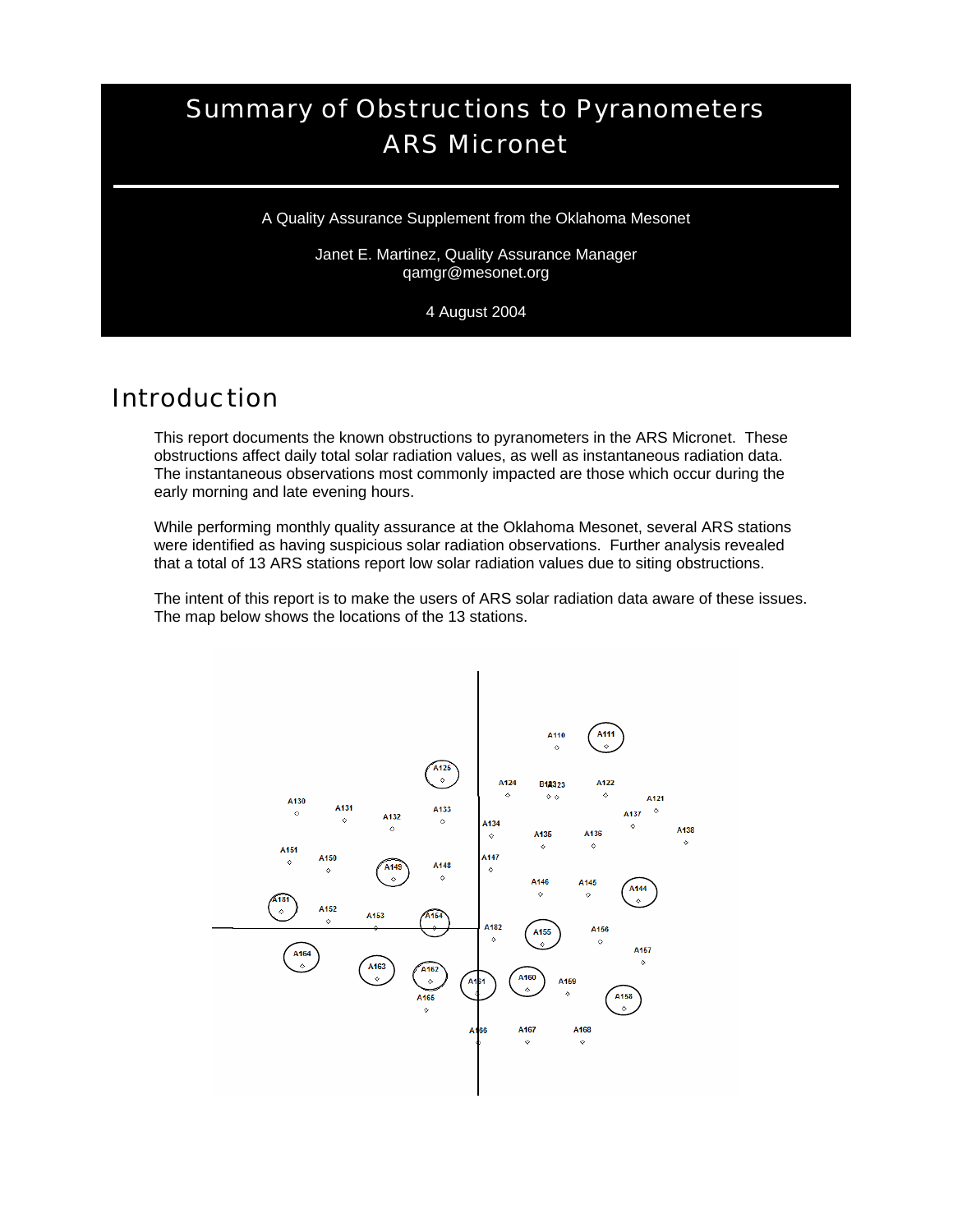# Summary of Obstructions to Pyranometers ARS Micronet

A Quality Assurance Supplement from the Oklahoma Mesonet

Janet E. Martinez, Quality Assurance Manager qamgr@mesonet.org

4 August 2004

### Introduction

This report documents the known obstructions to pyranometers in the ARS Micronet. These obstructions affect daily total solar radiation values, as well as instantaneous radiation data. The instantaneous observations most commonly impacted are those which occur during the early morning and late evening hours.

While performing monthly quality assurance at the Oklahoma Mesonet, several ARS stations were identified as having suspicious solar radiation observations. Further analysis revealed that a total of 13 ARS stations report low solar radiation values due to siting obstructions.

The intent of this report is to make the users of ARS solar radiation data aware of these issues. The map below shows the locations of the 13 stations.

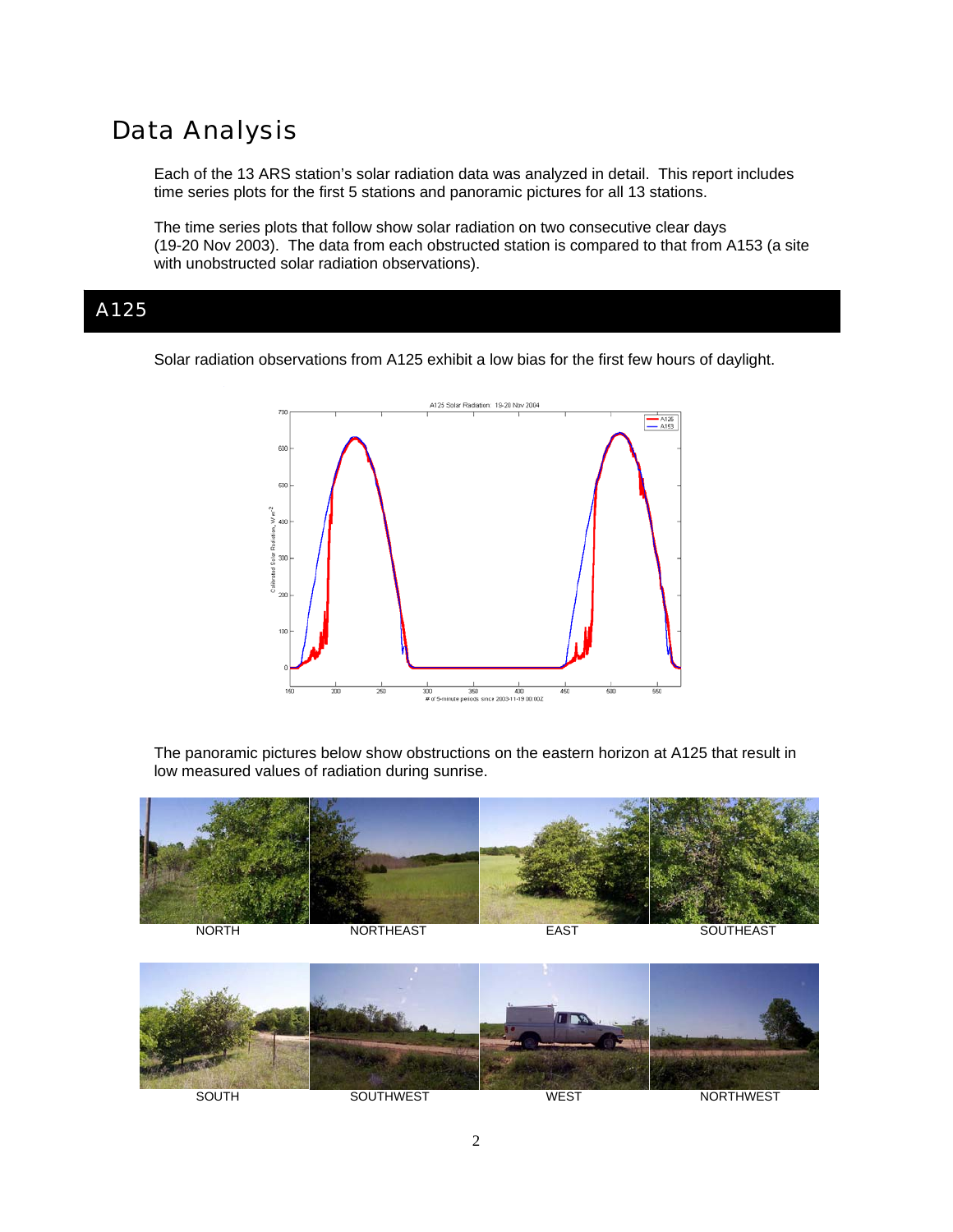# Data Analysis

Each of the 13 ARS station's solar radiation data was analyzed in detail. This report includes time series plots for the first 5 stations and panoramic pictures for all 13 stations.

The time series plots that follow show solar radiation on two consecutive clear days (19-20 Nov 2003). The data from each obstructed station is compared to that from A153 (a site with unobstructed solar radiation observations).

#### A125

Solar radiation observations from A125 exhibit a low bias for the first few hours of daylight.



The panoramic pictures below show obstructions on the eastern horizon at A125 that result in low measured values of radiation during sunrise.



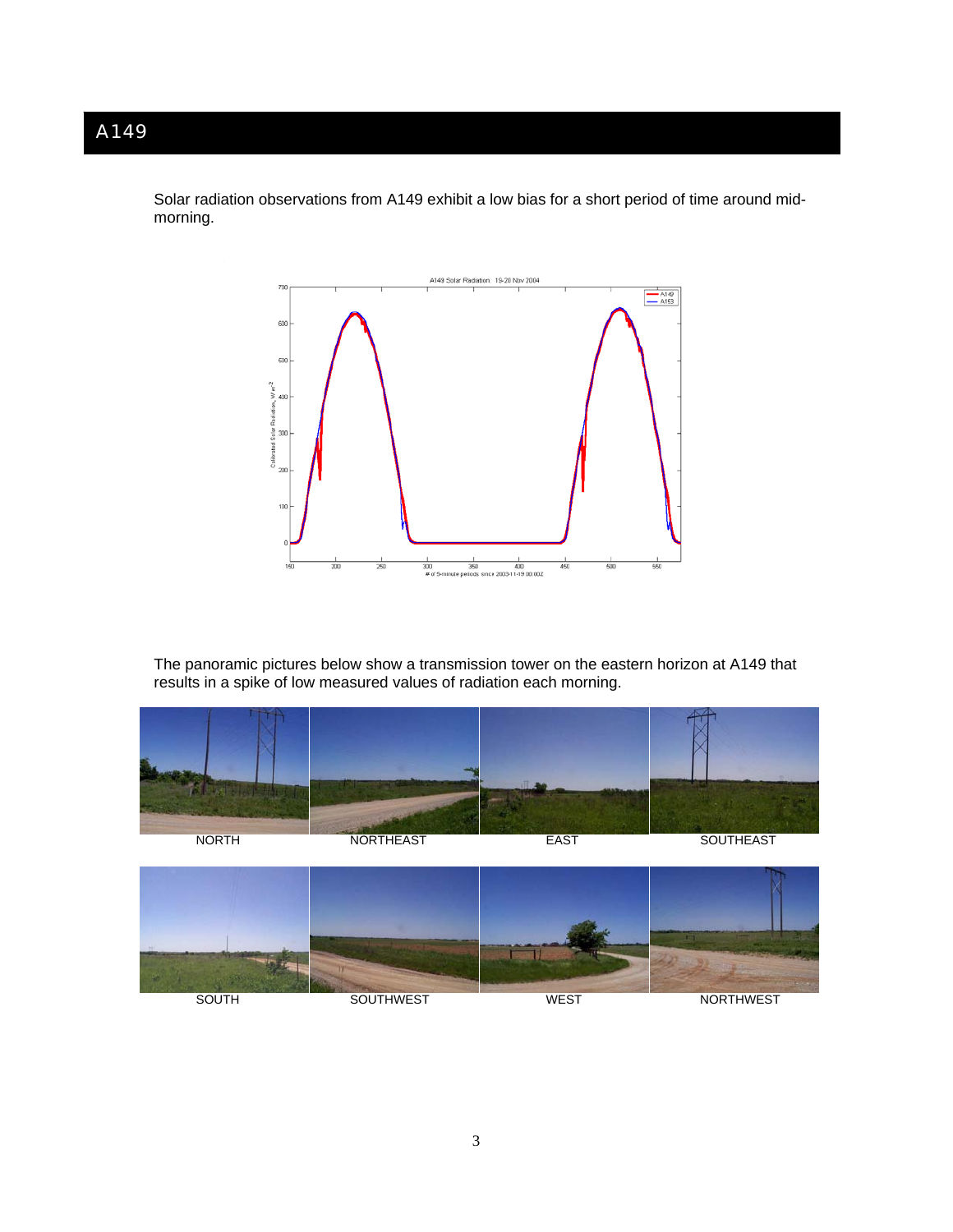Solar radiation observations from A149 exhibit a low bias for a short period of time around midmorning.



The panoramic pictures below show a transmission tower on the eastern horizon at A149 that results in a spike of low measured values of radiation each morning.

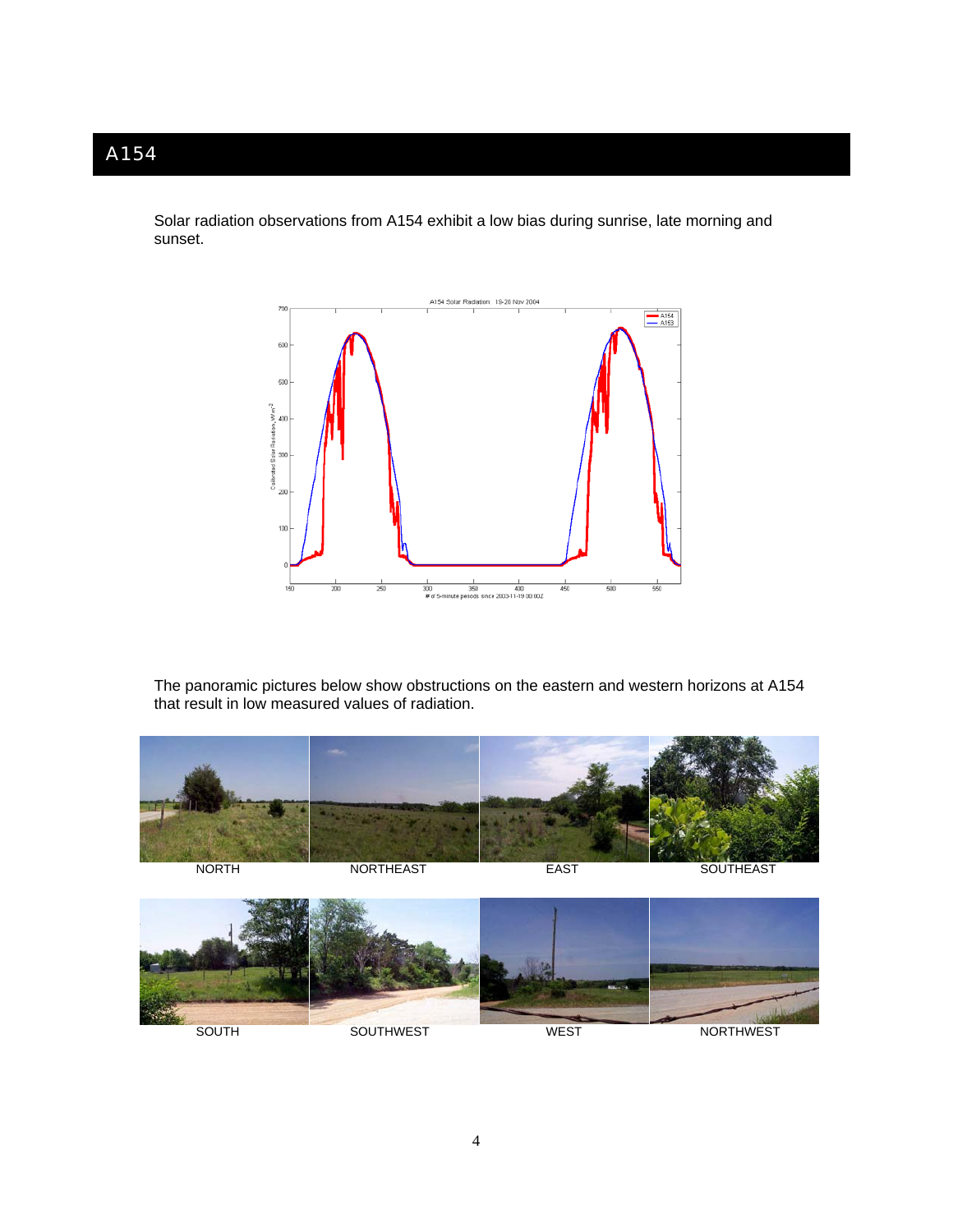Solar radiation observations from A154 exhibit a low bias during sunrise, late morning and sunset.



The panoramic pictures below show obstructions on the eastern and western horizons at A154 that result in low measured values of radiation.

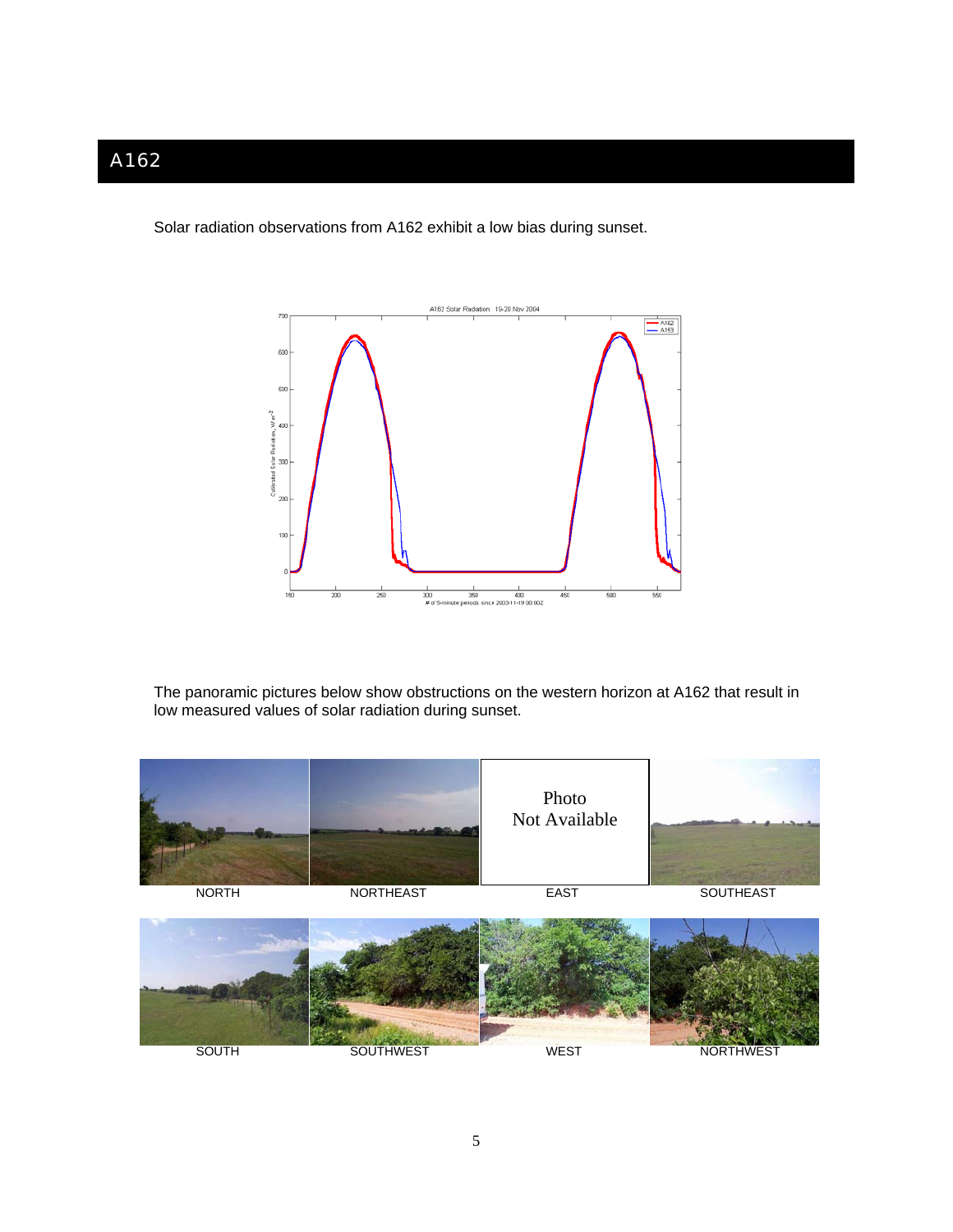Solar radiation observations from A162 exhibit a low bias during sunset.



The panoramic pictures below show obstructions on the western horizon at A162 that result in low measured values of solar radiation during sunset.

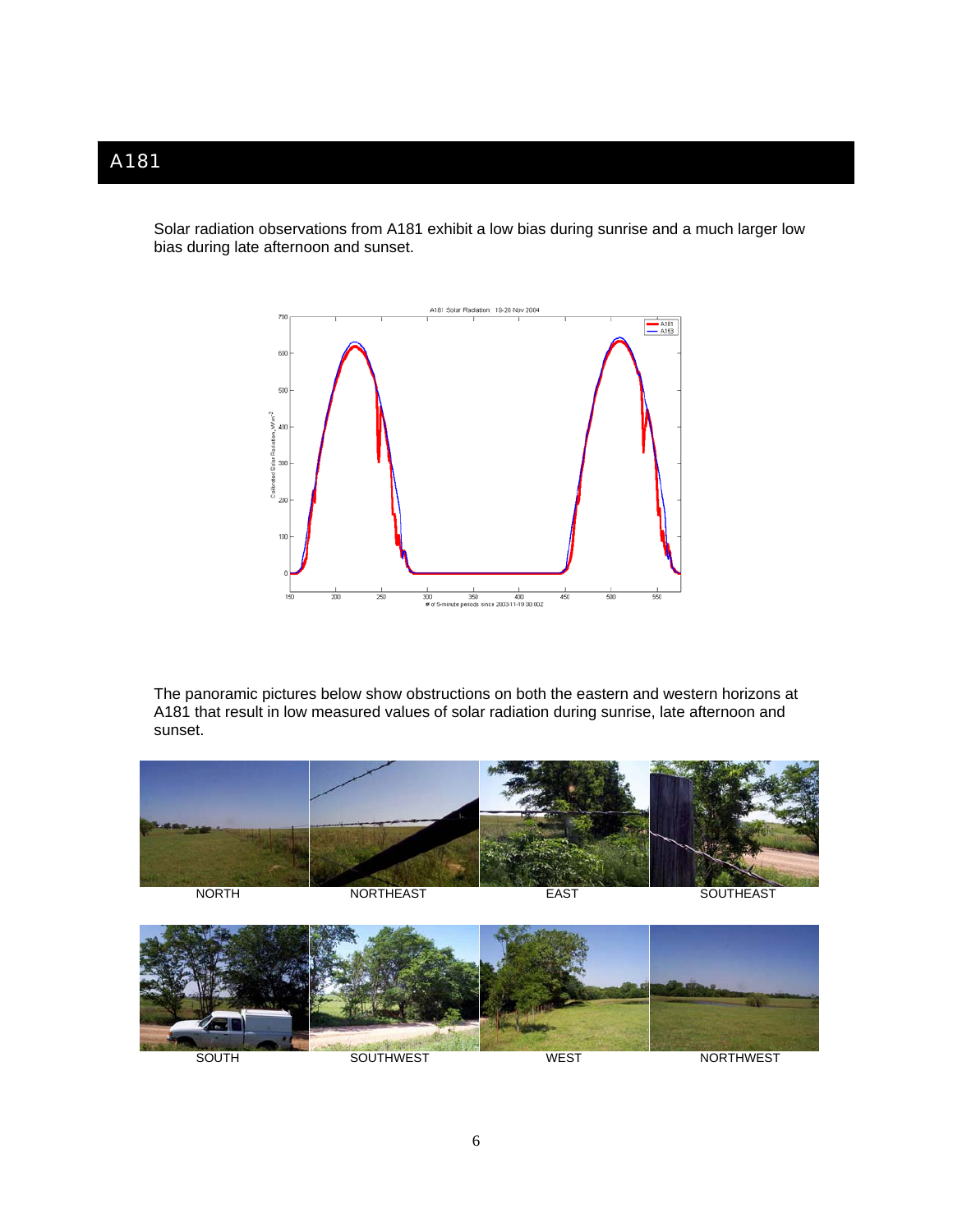Solar radiation observations from A181 exhibit a low bias during sunrise and a much larger low bias during late afternoon and sunset.



The panoramic pictures below show obstructions on both the eastern and western horizons at A181 that result in low measured values of solar radiation during sunrise, late afternoon and sunset.



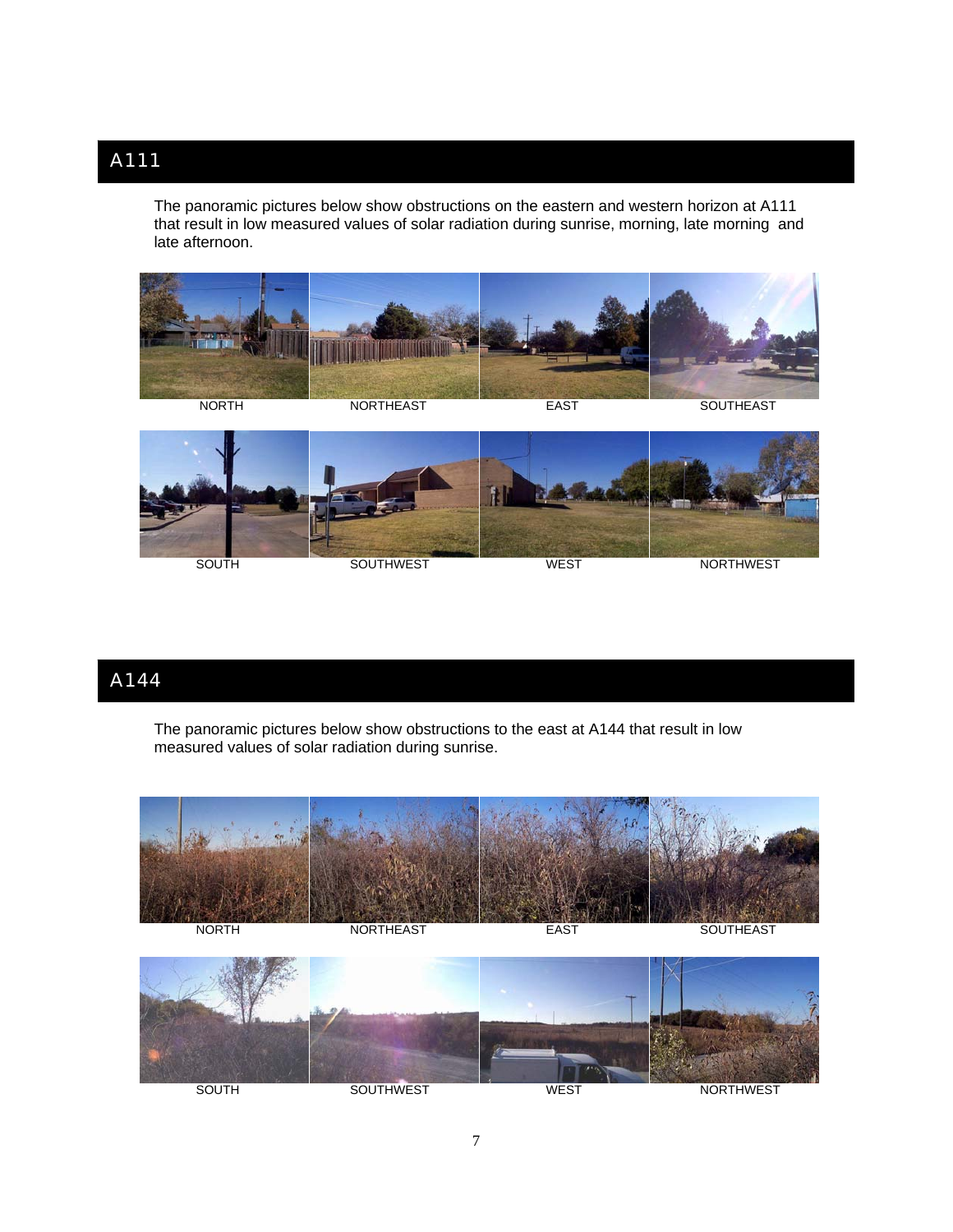The panoramic pictures below show obstructions on the eastern and western horizon at A111 that result in low measured values of solar radiation during sunrise, morning, late morning and late afternoon.



SOUTH SOUTHWEST WEST WEST NORTHWEST

### A144

The panoramic pictures below show obstructions to the east at A144 that result in low measured values of solar radiation during sunrise.

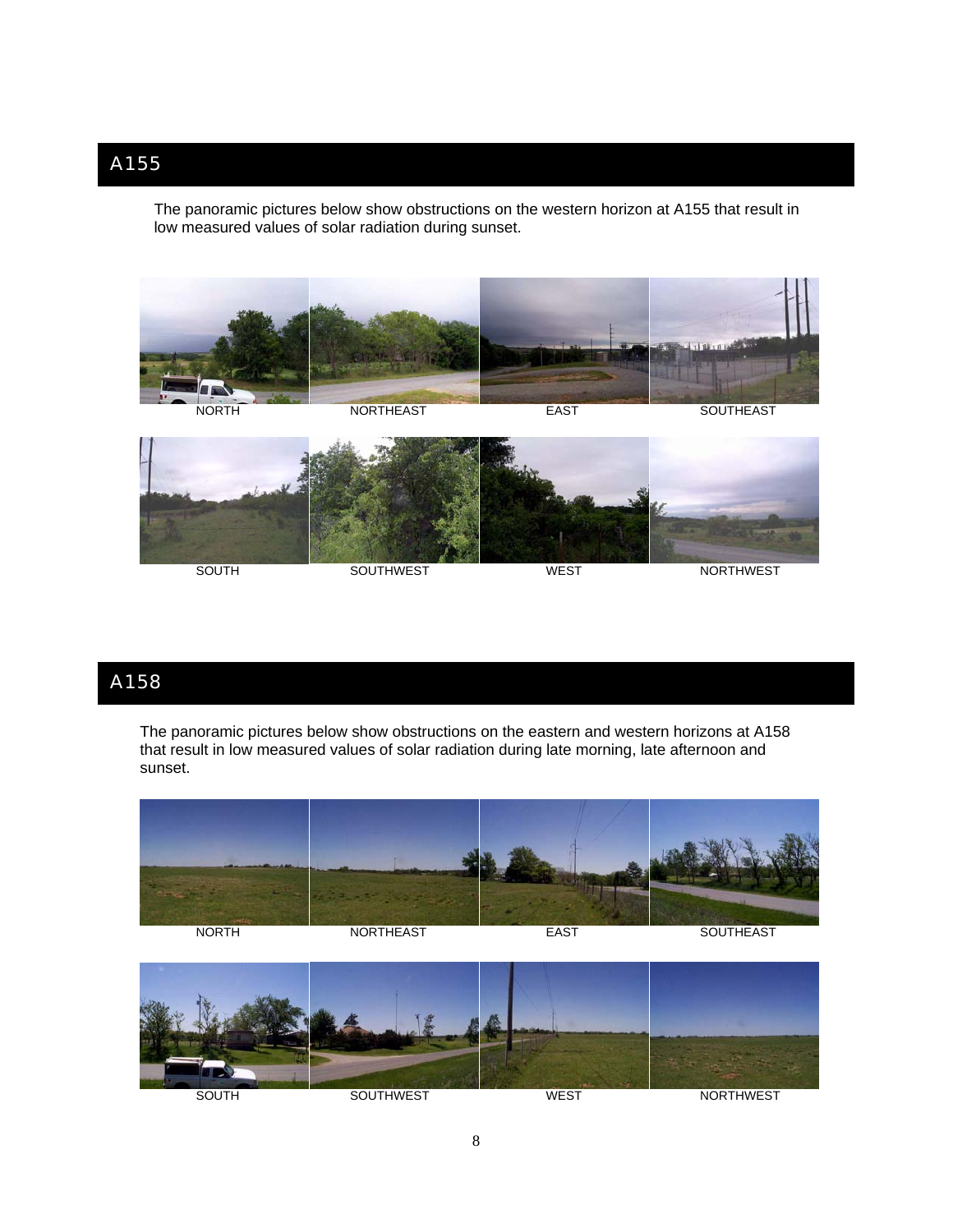The panoramic pictures below show obstructions on the western horizon at A155 that result in low measured values of solar radiation during sunset.



#### A158

The panoramic pictures below show obstructions on the eastern and western horizons at A158 that result in low measured values of solar radiation during late morning, late afternoon and sunset.



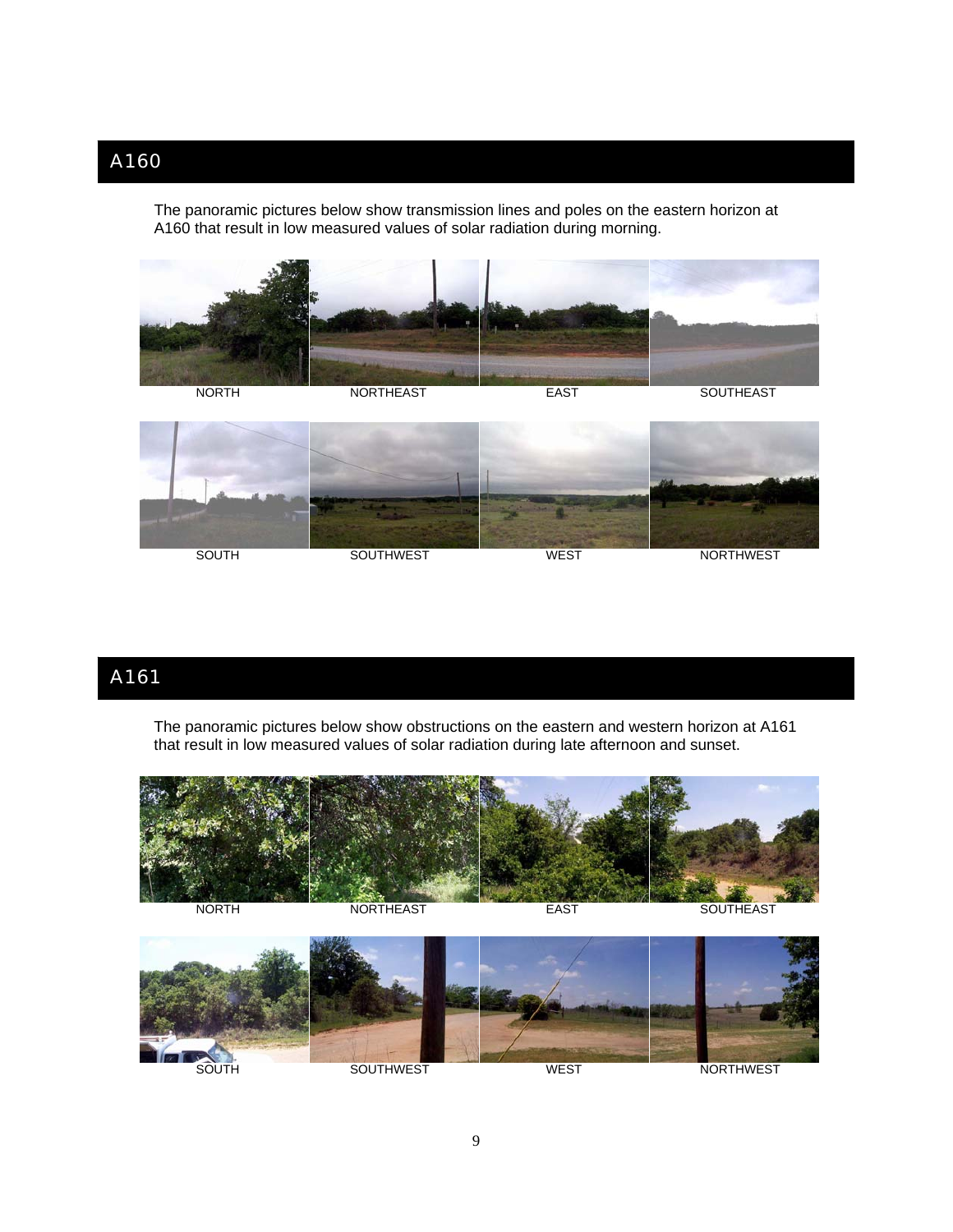The panoramic pictures below show transmission lines and poles on the eastern horizon at A160 that result in low measured values of solar radiation during morning.





# A161

The panoramic pictures below show obstructions on the eastern and western horizon at A161 that result in low measured values of solar radiation during late afternoon and sunset.



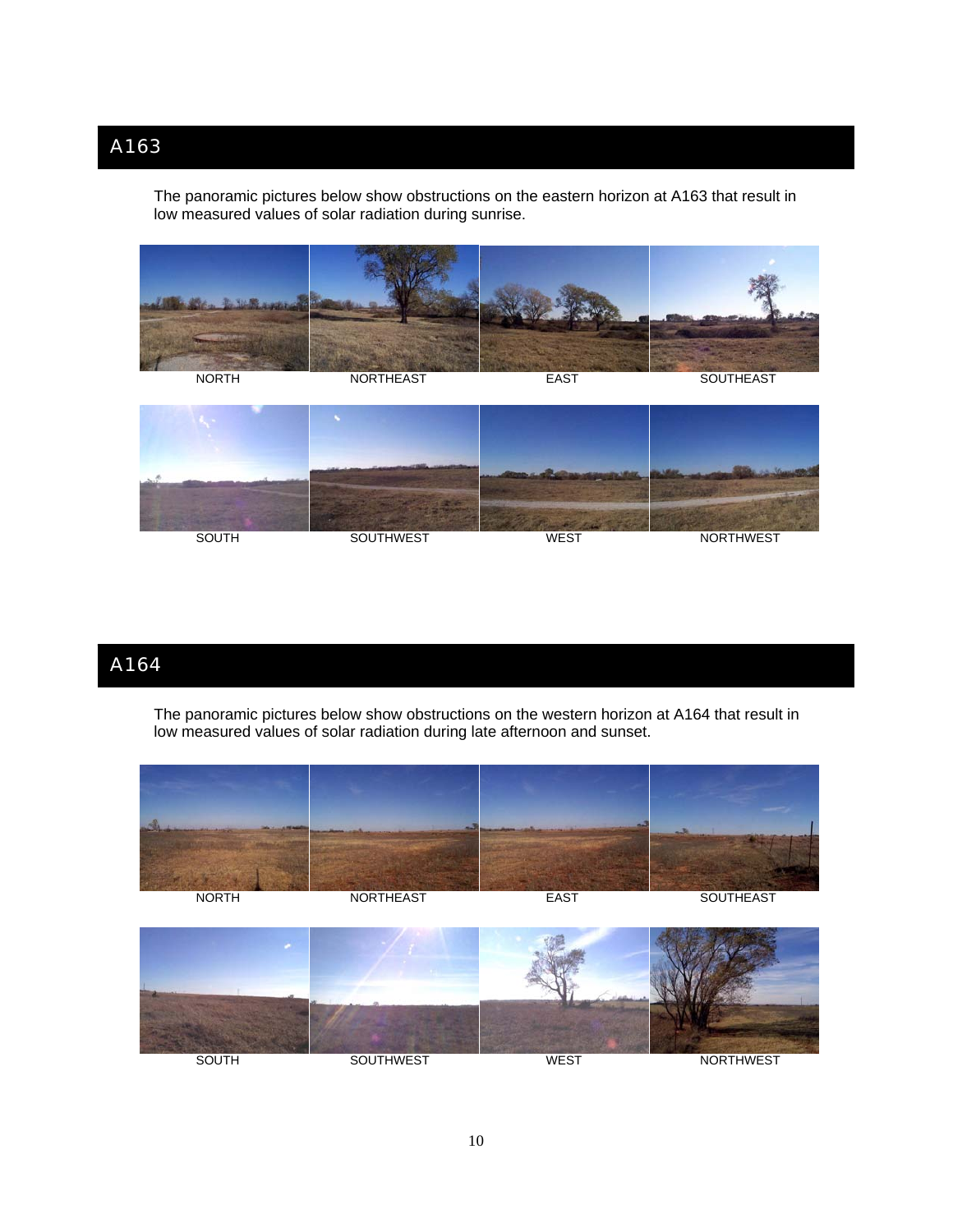T he panoramic pictures below show obstructions on the eastern horizon at A163 that result in low measured values of solar radiation during sunrise.





## A164

The panoramic pictures below show obstructions on the western horizon at A164 that result in low measured values of solar radiation during late afternoon and sunset.